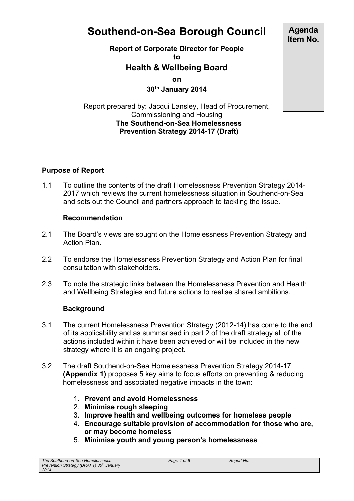# **Southend-on-Sea Borough Council**

#### **Report of Corporate Director for People**

**to**

## **Health & Wellbeing Board**

**on**

**30th January 2014**

Report prepared by: Jacqui Lansley, Head of Procurement, Commissioning and Housing

#### **The Southend-on-Sea Homelessness Prevention Strategy 2014-17 (Draft)**

## **Purpose of Report**

1.1 To outline the contents of the draft Homelessness Prevention Strategy 2014- 2017 which reviews the current homelessness situation in Southend-on-Sea and sets out the Council and partners approach to tackling the issue.

#### **Recommendation**

- 2.1 The Board's views are sought on the Homelessness Prevention Strategy and Action Plan.
- 2.2 To endorse the Homelessness Prevention Strategy and Action Plan for final consultation with stakeholders.
- 2.3 To note the strategic links between the Homelessness Prevention and Health and Wellbeing Strategies and future actions to realise shared ambitions.

#### **Background**

- 3.1 The current Homelessness Prevention Strategy (2012-14) has come to the end of its applicability and as summarised in part 2 of the draft strategy all of the actions included within it have been achieved or will be included in the new strategy where it is an ongoing project.
- 3.2 The draft Southend-on-Sea Homelessness Prevention Strategy 2014-17 **(Appendix 1)** proposes 5 key aims to focus efforts on preventing & reducing homelessness and associated negative impacts in the town:
	- 1. **Prevent and avoid Homelessness**
	- 2. **Minimise rough sleeping**
	- 3. **Improve health and wellbeing outcomes for homeless people**
	- 4. **Encourage suitable provision of accommodation for those who are, or may become homeless**
	- 5. **Minimise youth and young person's homelessness**

**Agenda Item No.**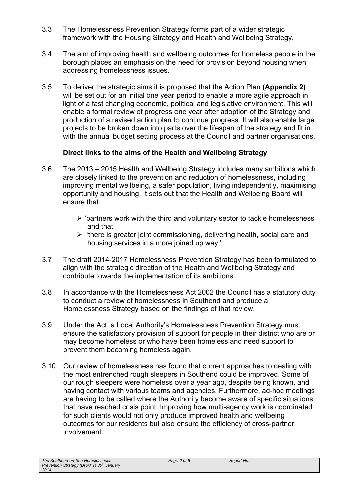- 3.3 The Homelessness Prevention Strategy forms part of a wider strategic framework with the Housing Strategy and Health and Wellbeing Strategy.
- 3.4 The aim of improving health and wellbeing outcomes for homeless people in the borough places an emphasis on the need for provision beyond housing when addressing homelessness issues.
- 3.5 To deliver the strategic aims it is proposed that the Action Plan **(Appendix 2)** will be set out for an initial one year period to enable a more agile approach in light of a fast changing economic, political and legislative environment. This will enable a formal review of progress one year after adoption of the Strategy and production of a revised action plan to continue progress. It will also enable large projects to be broken down into parts over the lifespan of the strategy and fit in with the annual budget setting process at the Council and partner organisations.

#### **Direct links to the aims of the Health and Wellbeing Strategy**

- 3.6 The 2013 2015 Health and Wellbeing Strategy includes many ambitions which are closely linked to the prevention and reduction of homelessness, including improving mental wellbeing, a safer population, living independently, maximising opportunity and housing. It sets out that the Health and Wellbeing Board will ensure that:
	- $\triangleright$  'partners work with the third and voluntary sector to tackle homelessness' and that
	- $\triangleright$  'there is greater joint commissioning, delivering health, social care and housing services in a more joined up way.'
- 3.7 The draft 2014-2017 Homelessness Prevention Strategy has been formulated to align with the strategic direction of the Health and Wellbeing Strategy and contribute towards the implementation of its ambitions.
- 3.8 In accordance with the Homelessness Act 2002 the Council has a statutory duty to conduct a review of homelessness in Southend and produce a Homelessness Strategy based on the findings of that review.
- 3.9 Under the Act, a Local Authority's Homelessness Prevention Strategy must ensure the satisfactory provision of support for people in their district who are or may become homeless or who have been homeless and need support to prevent them becoming homeless again.
- 3.10 Our review of homelessness has found that current approaches to dealing with the most entrenched rough sleepers in Southend could be improved. Some of our rough sleepers were homeless over a year ago, despite being known, and having contact with various teams and agencies. Furthermore, ad-hoc meetings are having to be called where the Authority become aware of specific situations that have reached crisis point. Improving how multi-agency work is coordinated for such clients would not only produce improved health and wellbeing outcomes for our residents but also ensure the efficiency of cross-partner involvement.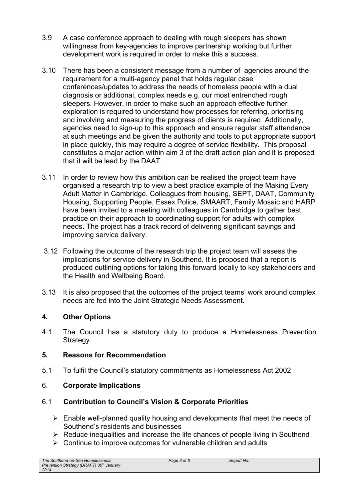- 3.9 A case conference approach to dealing with rough sleepers has shown willingness from key-agencies to improve partnership working but further development work is required in order to make this a success.
- 3.10 There has been a consistent message from a number of agencies around the requirement for a multi-agency panel that holds regular case conferences/updates to address the needs of homeless people with a dual diagnosis or additional, complex needs e.g. our most entrenched rough sleepers. However, in order to make such an approach effective further exploration is required to understand how processes for referring, prioritising and involving and measuring the progress of clients is required. Additionally, agencies need to sign-up to this approach and ensure regular staff attendance at such meetings and be given the authority and tools to put appropriate support in place quickly, this may require a degree of service flexibility. This proposal constitutes a major action within aim 3 of the draft action plan and it is proposed that it will be lead by the DAAT.
- 3.11 In order to review how this ambition can be realised the project team have organised a research trip to view a best practice example of the Making Every Adult Matter in Cambridge. Colleagues from housing, SEPT, DAAT, Community Housing, Supporting People, Essex Police, SMAART, Family Mosaic and HARP have been invited to a meeting with colleagues in Cambridge to gather best practice on their approach to coordinating support for adults with complex needs. The project has a track record of delivering significant savings and improving service delivery.
- 3.12 Following the outcome of the research trip the project team will assess the implications for service delivery in Southend. It is proposed that a report is produced outlining options for taking this forward locally to key stakeholders and the Health and Wellbeing Board.
- 3.13 It is also proposed that the outcomes of the project teams' work around complex needs are fed into the Joint Strategic Needs Assessment.

## **4. Other Options**

4.1 The Council has a statutory duty to produce a Homelessness Prevention Strategy.

#### **5. Reasons for Recommendation**

5.1 To fulfil the Council's statutory commitments as Homelessness Act 2002

## 6. **Corporate Implications**

## 6.1 **Contribution to Council's Vision & Corporate Priorities**

- $\triangleright$  Enable well-planned quality housing and developments that meet the needs of Southend's residents and businesses
- $\triangleright$  Reduce inequalities and increase the life chances of people living in Southend
- $\triangleright$  Continue to improve outcomes for vulnerable children and adults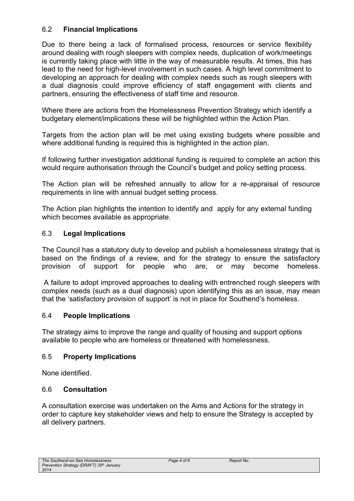### 6.2 **Financial Implications**

Due to there being a lack of formalised process, resources or service flexibility around dealing with rough sleepers with complex needs, duplication of work/meetings is currently taking place with little in the way of measurable results. At times, this has lead to the need for high-level involvement in such cases. A high level commitment to developing an approach for dealing with complex needs such as rough sleepers with a dual diagnosis could improve efficiency of staff engagement with clients and partners, ensuring the effectiveness of staff time and resource.

Where there are actions from the Homelessness Prevention Strategy which identify a budgetary element/implications these will be highlighted within the Action Plan.

Targets from the action plan will be met using existing budgets where possible and where additional funding is required this is highlighted in the action plan.

If following further investigation additional funding is required to complete an action this would require authorisation through the Council's budget and policy setting process.

The Action plan will be refreshed annually to allow for a re-appraisal of resource requirements in line with annual budget setting process.

The Action plan highlights the intention to identify and apply for any external funding which becomes available as appropriate.

#### 6.3 **Legal Implications**

The Council has a statutory duty to develop and publish a homelessness strategy that is based on the findings of a review, and for the strategy to ensure the satisfactory provision of support for people who are, or may become homeless.

A failure to adopt improved approaches to dealing with entrenched rough sleepers with complex needs (such as a dual diagnosis) upon identifying this as an issue, may mean that the 'satisfactory provision of support' is not in place for Southend's homeless.

#### 6.4 **People Implications**

The strategy aims to improve the range and quality of housing and support options available to people who are homeless or threatened with homelessness.

#### 6.5 **Property Implications**

None identified.

#### 6.6 **Consultation**

A consultation exercise was undertaken on the Aims and Actions for the strategy in order to capture key stakeholder views and help to ensure the Strategy is accepted by all delivery partners.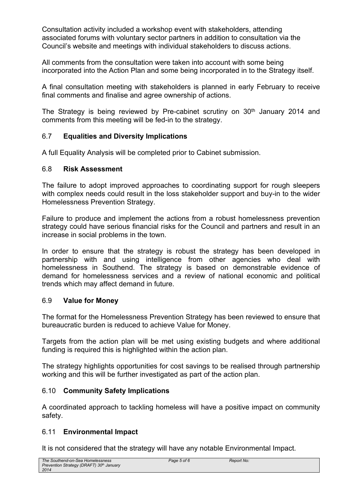Consultation activity included a workshop event with stakeholders, attending associated forums with voluntary sector partners in addition to consultation via the Council's website and meetings with individual stakeholders to discuss actions.

All comments from the consultation were taken into account with some being incorporated into the Action Plan and some being incorporated in to the Strategy itself.

A final consultation meeting with stakeholders is planned in early February to receive final comments and finalise and agree ownership of actions.

The Strategy is being reviewed by Pre-cabinet scrutiny on  $30<sup>th</sup>$  January 2014 and comments from this meeting will be fed-in to the strategy.

#### 6.7 **Equalities and Diversity Implications**

A full Equality Analysis will be completed prior to Cabinet submission.

#### 6.8 **Risk Assessment**

The failure to adopt improved approaches to coordinating support for rough sleepers with complex needs could result in the loss stakeholder support and buy-in to the wider Homelessness Prevention Strategy.

Failure to produce and implement the actions from a robust homelessness prevention strategy could have serious financial risks for the Council and partners and result in an increase in social problems in the town.

In order to ensure that the strategy is robust the strategy has been developed in partnership with and using intelligence from other agencies who deal with homelessness in Southend. The strategy is based on demonstrable evidence of demand for homelessness services and a review of national economic and political trends which may affect demand in future.

#### 6.9 **Value for Money**

The format for the Homelessness Prevention Strategy has been reviewed to ensure that bureaucratic burden is reduced to achieve Value for Money.

Targets from the action plan will be met using existing budgets and where additional funding is required this is highlighted within the action plan.

The strategy highlights opportunities for cost savings to be realised through partnership working and this will be further investigated as part of the action plan.

#### 6.10 **Community Safety Implications**

A coordinated approach to tackling homeless will have a positive impact on community safety.

#### 6.11 **Environmental Impact**

It is not considered that the strategy will have any notable Environmental Impact.

| The Southend-on-Sea Homelessness                     |
|------------------------------------------------------|
| Prevention Strategy (DRAFT) 30 <sup>th</sup> January |
| 2014                                                 |